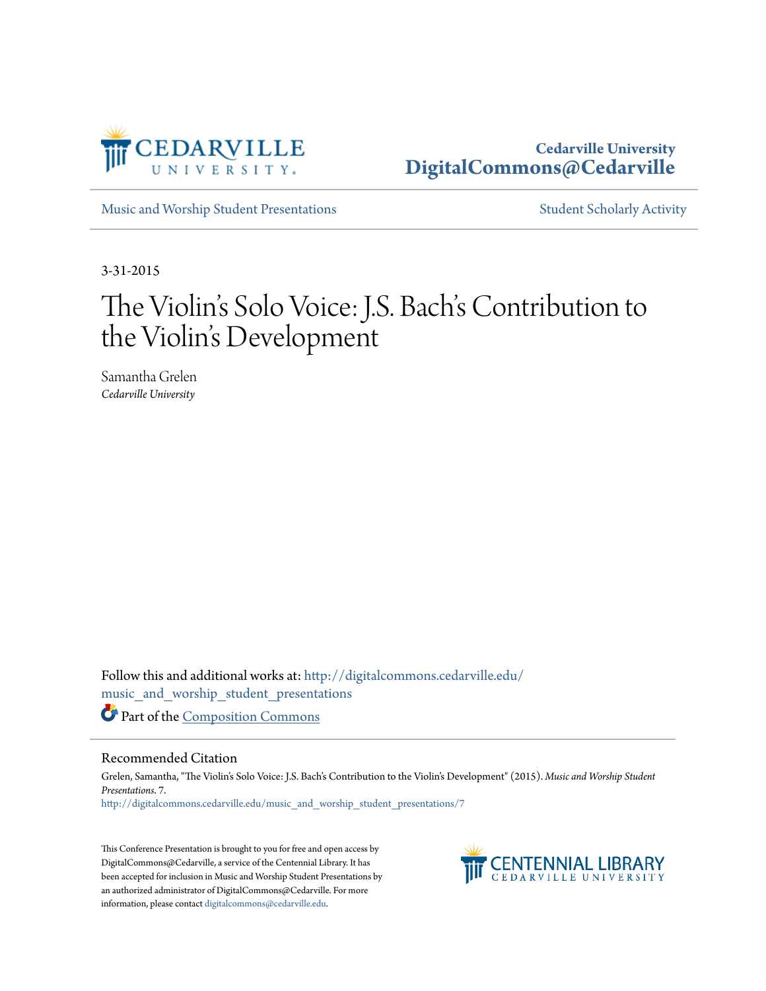

### **Cedarville University [DigitalCommons@Cedarville](http://digitalcommons.cedarville.edu?utm_source=digitalcommons.cedarville.edu%2Fmusic_and_worship_student_presentations%2F7&utm_medium=PDF&utm_campaign=PDFCoverPages)**

[Music and Worship Student Presentations](http://digitalcommons.cedarville.edu/music_and_worship_student_presentations?utm_source=digitalcommons.cedarville.edu%2Fmusic_and_worship_student_presentations%2F7&utm_medium=PDF&utm_campaign=PDFCoverPages) [Student Scholarly Activity](http://digitalcommons.cedarville.edu/music_student_scholarly_activity?utm_source=digitalcommons.cedarville.edu%2Fmusic_and_worship_student_presentations%2F7&utm_medium=PDF&utm_campaign=PDFCoverPages)

3-31-2015

# The Violin's Solo Voice: J.S. Bach's Contribution to the Violin's Development

Samantha Grelen *Cedarville University*

Follow this and additional works at: [http://digitalcommons.cedarville.edu/](http://digitalcommons.cedarville.edu/music_and_worship_student_presentations?utm_source=digitalcommons.cedarville.edu%2Fmusic_and_worship_student_presentations%2F7&utm_medium=PDF&utm_campaign=PDFCoverPages) [music\\_and\\_worship\\_student\\_presentations](http://digitalcommons.cedarville.edu/music_and_worship_student_presentations?utm_source=digitalcommons.cedarville.edu%2Fmusic_and_worship_student_presentations%2F7&utm_medium=PDF&utm_campaign=PDFCoverPages) Part of the [Composition Commons](http://network.bepress.com/hgg/discipline/519?utm_source=digitalcommons.cedarville.edu%2Fmusic_and_worship_student_presentations%2F7&utm_medium=PDF&utm_campaign=PDFCoverPages)

#### Recommended Citation

Grelen, Samantha, "The Violin's Solo Voice: J.S. Bach's Contribution to the Violin's Development" (2015). *Music and Worship Student Presentations*. 7. [http://digitalcommons.cedarville.edu/music\\_and\\_worship\\_student\\_presentations/7](http://digitalcommons.cedarville.edu/music_and_worship_student_presentations/7?utm_source=digitalcommons.cedarville.edu%2Fmusic_and_worship_student_presentations%2F7&utm_medium=PDF&utm_campaign=PDFCoverPages)

This Conference Presentation is brought to you for free and open access by DigitalCommons@Cedarville, a service of the Centennial Library. It has been accepted for inclusion in Music and Worship Student Presentations by an authorized administrator of DigitalCommons@Cedarville. For more information, please contact [digitalcommons@cedarville.edu.](mailto:digitalcommons@cedarville.edu)

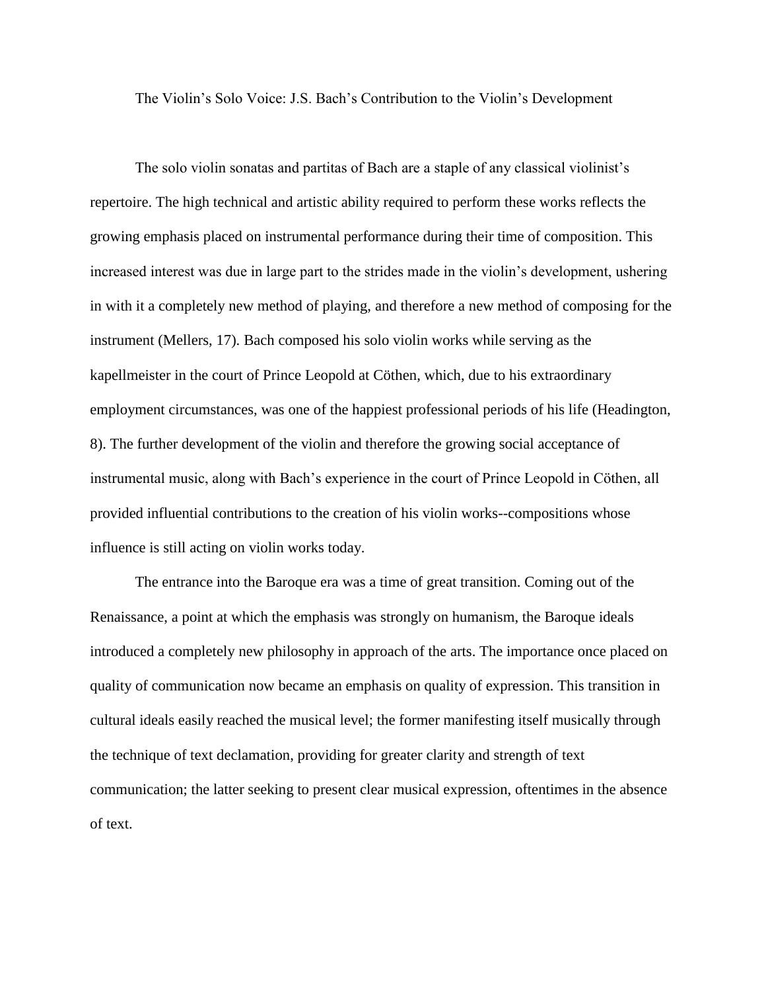The Violin's Solo Voice: J.S. Bach's Contribution to the Violin's Development

The solo violin sonatas and partitas of Bach are a staple of any classical violinist's repertoire. The high technical and artistic ability required to perform these works reflects the growing emphasis placed on instrumental performance during their time of composition. This increased interest was due in large part to the strides made in the violin's development, ushering in with it a completely new method of playing, and therefore a new method of composing for the instrument (Mellers, 17). Bach composed his solo violin works while serving as the kapellmeister in the court of Prince Leopold at Cöthen, which, due to his extraordinary employment circumstances, was one of the happiest professional periods of his life (Headington, 8). The further development of the violin and therefore the growing social acceptance of instrumental music, along with Bach's experience in the court of Prince Leopold in Cöthen, all provided influential contributions to the creation of his violin works--compositions whose influence is still acting on violin works today.

The entrance into the Baroque era was a time of great transition. Coming out of the Renaissance, a point at which the emphasis was strongly on humanism, the Baroque ideals introduced a completely new philosophy in approach of the arts. The importance once placed on quality of communication now became an emphasis on quality of expression. This transition in cultural ideals easily reached the musical level; the former manifesting itself musically through the technique of text declamation, providing for greater clarity and strength of text communication; the latter seeking to present clear musical expression, oftentimes in the absence of text.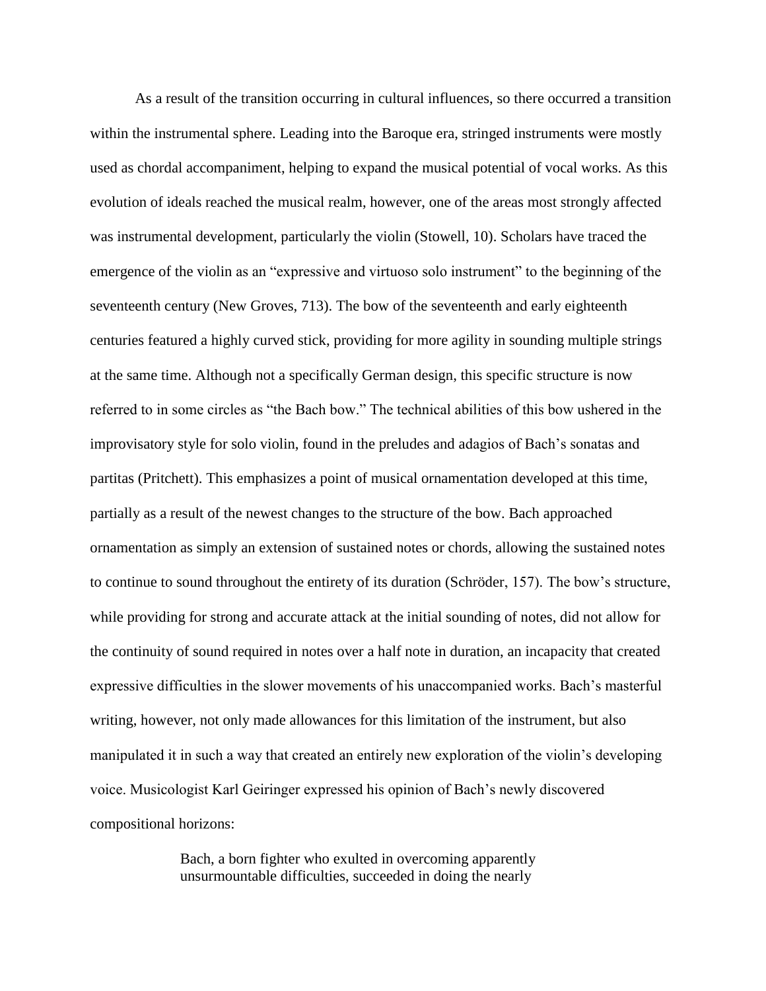As a result of the transition occurring in cultural influences, so there occurred a transition within the instrumental sphere. Leading into the Baroque era, stringed instruments were mostly used as chordal accompaniment, helping to expand the musical potential of vocal works. As this evolution of ideals reached the musical realm, however, one of the areas most strongly affected was instrumental development, particularly the violin (Stowell, 10). Scholars have traced the emergence of the violin as an "expressive and virtuoso solo instrument" to the beginning of the seventeenth century (New Groves, 713). The bow of the seventeenth and early eighteenth centuries featured a highly curved stick, providing for more agility in sounding multiple strings at the same time. Although not a specifically German design, this specific structure is now referred to in some circles as "the Bach bow." The technical abilities of this bow ushered in the improvisatory style for solo violin, found in the preludes and adagios of Bach's sonatas and partitas (Pritchett). This emphasizes a point of musical ornamentation developed at this time, partially as a result of the newest changes to the structure of the bow. Bach approached ornamentation as simply an extension of sustained notes or chords, allowing the sustained notes to continue to sound throughout the entirety of its duration (Schröder, 157). The bow's structure, while providing for strong and accurate attack at the initial sounding of notes, did not allow for the continuity of sound required in notes over a half note in duration, an incapacity that created expressive difficulties in the slower movements of his unaccompanied works. Bach's masterful writing, however, not only made allowances for this limitation of the instrument, but also manipulated it in such a way that created an entirely new exploration of the violin's developing voice. Musicologist Karl Geiringer expressed his opinion of Bach's newly discovered compositional horizons:

> Bach, a born fighter who exulted in overcoming apparently unsurmountable difficulties, succeeded in doing the nearly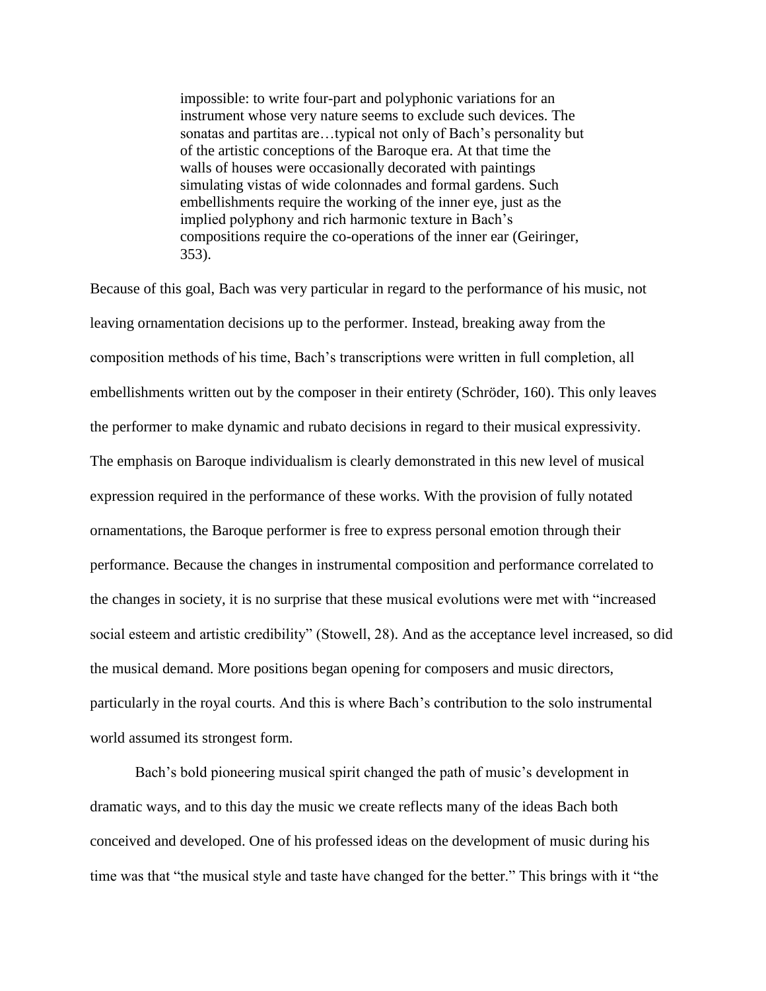impossible: to write four-part and polyphonic variations for an instrument whose very nature seems to exclude such devices. The sonatas and partitas are…typical not only of Bach's personality but of the artistic conceptions of the Baroque era. At that time the walls of houses were occasionally decorated with paintings simulating vistas of wide colonnades and formal gardens. Such embellishments require the working of the inner eye, just as the implied polyphony and rich harmonic texture in Bach's compositions require the co-operations of the inner ear (Geiringer, 353).

Because of this goal, Bach was very particular in regard to the performance of his music, not leaving ornamentation decisions up to the performer. Instead, breaking away from the composition methods of his time, Bach's transcriptions were written in full completion, all embellishments written out by the composer in their entirety (Schröder, 160). This only leaves the performer to make dynamic and rubato decisions in regard to their musical expressivity. The emphasis on Baroque individualism is clearly demonstrated in this new level of musical expression required in the performance of these works. With the provision of fully notated ornamentations, the Baroque performer is free to express personal emotion through their performance. Because the changes in instrumental composition and performance correlated to the changes in society, it is no surprise that these musical evolutions were met with "increased social esteem and artistic credibility" (Stowell, 28). And as the acceptance level increased, so did the musical demand. More positions began opening for composers and music directors, particularly in the royal courts. And this is where Bach's contribution to the solo instrumental world assumed its strongest form.

Bach's bold pioneering musical spirit changed the path of music's development in dramatic ways, and to this day the music we create reflects many of the ideas Bach both conceived and developed. One of his professed ideas on the development of music during his time was that "the musical style and taste have changed for the better." This brings with it "the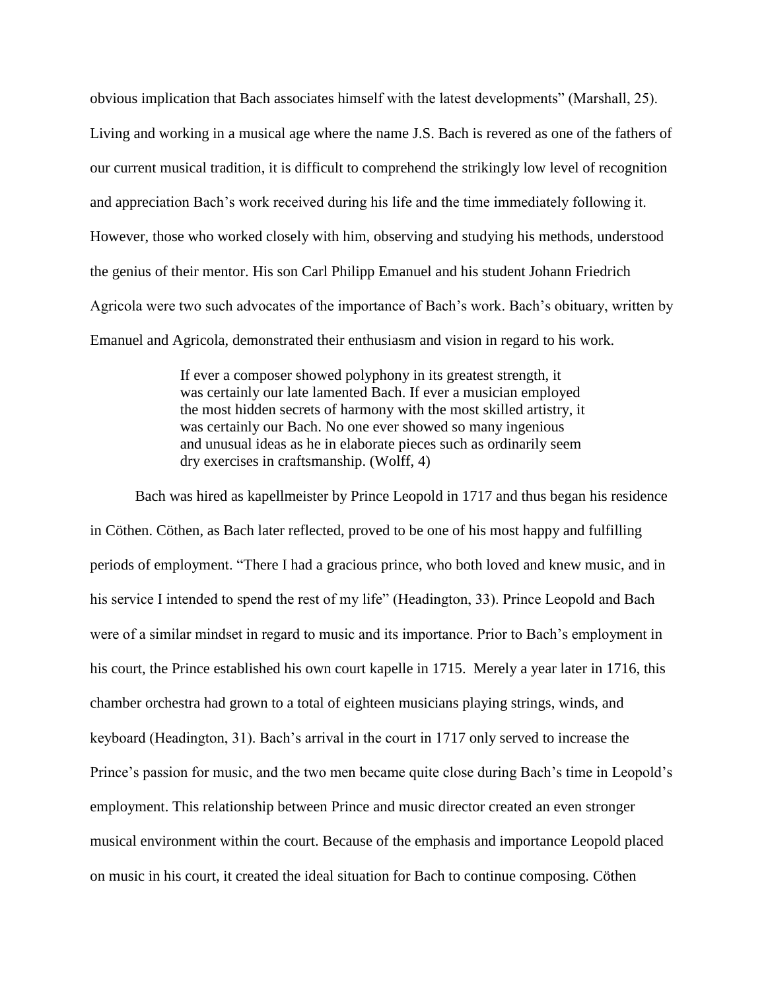obvious implication that Bach associates himself with the latest developments" (Marshall, 25). Living and working in a musical age where the name J.S. Bach is revered as one of the fathers of our current musical tradition, it is difficult to comprehend the strikingly low level of recognition and appreciation Bach's work received during his life and the time immediately following it. However, those who worked closely with him, observing and studying his methods, understood the genius of their mentor. His son Carl Philipp Emanuel and his student Johann Friedrich Agricola were two such advocates of the importance of Bach's work. Bach's obituary, written by Emanuel and Agricola, demonstrated their enthusiasm and vision in regard to his work.

> If ever a composer showed polyphony in its greatest strength, it was certainly our late lamented Bach. If ever a musician employed the most hidden secrets of harmony with the most skilled artistry, it was certainly our Bach. No one ever showed so many ingenious and unusual ideas as he in elaborate pieces such as ordinarily seem dry exercises in craftsmanship. (Wolff, 4)

Bach was hired as kapellmeister by Prince Leopold in 1717 and thus began his residence in Cöthen. Cöthen, as Bach later reflected, proved to be one of his most happy and fulfilling periods of employment. "There I had a gracious prince, who both loved and knew music, and in his service I intended to spend the rest of my life" (Headington, 33). Prince Leopold and Bach were of a similar mindset in regard to music and its importance. Prior to Bach's employment in his court, the Prince established his own court kapelle in 1715. Merely a year later in 1716, this chamber orchestra had grown to a total of eighteen musicians playing strings, winds, and keyboard (Headington, 31). Bach's arrival in the court in 1717 only served to increase the Prince's passion for music, and the two men became quite close during Bach's time in Leopold's employment. This relationship between Prince and music director created an even stronger musical environment within the court. Because of the emphasis and importance Leopold placed on music in his court, it created the ideal situation for Bach to continue composing. Cöthen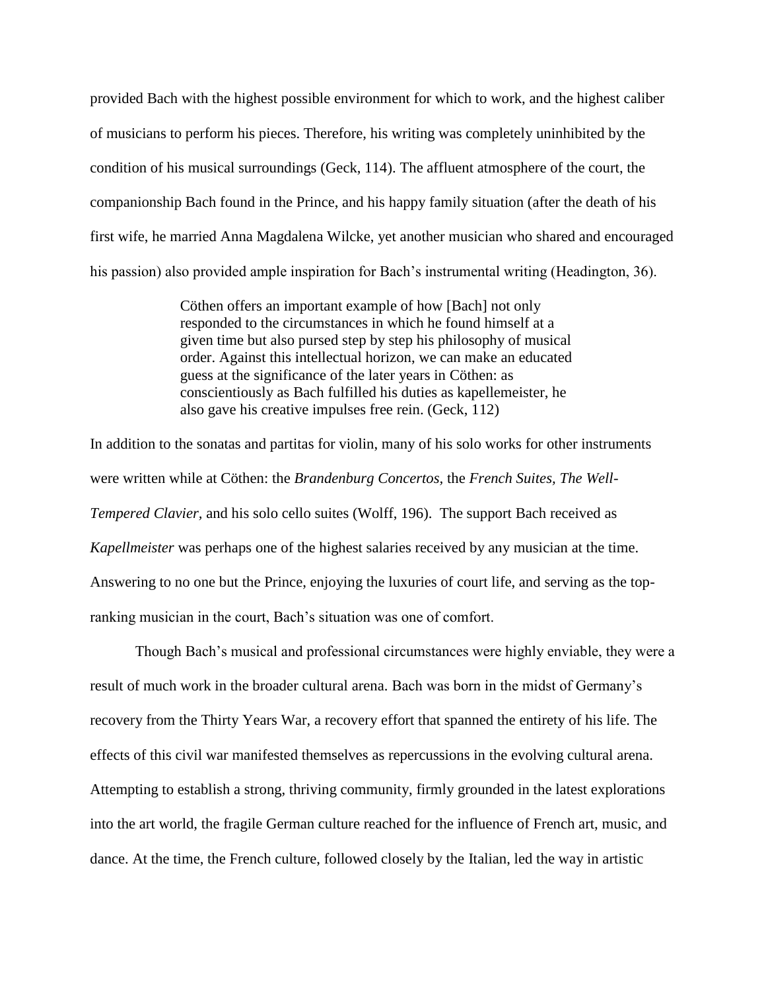provided Bach with the highest possible environment for which to work, and the highest caliber of musicians to perform his pieces. Therefore, his writing was completely uninhibited by the condition of his musical surroundings (Geck, 114). The affluent atmosphere of the court, the companionship Bach found in the Prince, and his happy family situation (after the death of his first wife, he married Anna Magdalena Wilcke, yet another musician who shared and encouraged his passion) also provided ample inspiration for Bach's instrumental writing (Headington, 36).

> Cöthen offers an important example of how [Bach] not only responded to the circumstances in which he found himself at a given time but also pursed step by step his philosophy of musical order. Against this intellectual horizon, we can make an educated guess at the significance of the later years in Cöthen: as conscientiously as Bach fulfilled his duties as kapellemeister, he also gave his creative impulses free rein. (Geck, 112)

In addition to the sonatas and partitas for violin, many of his solo works for other instruments were written while at Cöthen: the *Brandenburg Concertos,* the *French Suites, The Well-Tempered Clavier,* and his solo cello suites (Wolff, 196). The support Bach received as *Kapellmeister* was perhaps one of the highest salaries received by any musician at the time. Answering to no one but the Prince, enjoying the luxuries of court life, and serving as the topranking musician in the court, Bach's situation was one of comfort.

Though Bach's musical and professional circumstances were highly enviable, they were a result of much work in the broader cultural arena. Bach was born in the midst of Germany's recovery from the Thirty Years War, a recovery effort that spanned the entirety of his life. The effects of this civil war manifested themselves as repercussions in the evolving cultural arena. Attempting to establish a strong, thriving community, firmly grounded in the latest explorations into the art world, the fragile German culture reached for the influence of French art, music, and dance. At the time, the French culture, followed closely by the Italian, led the way in artistic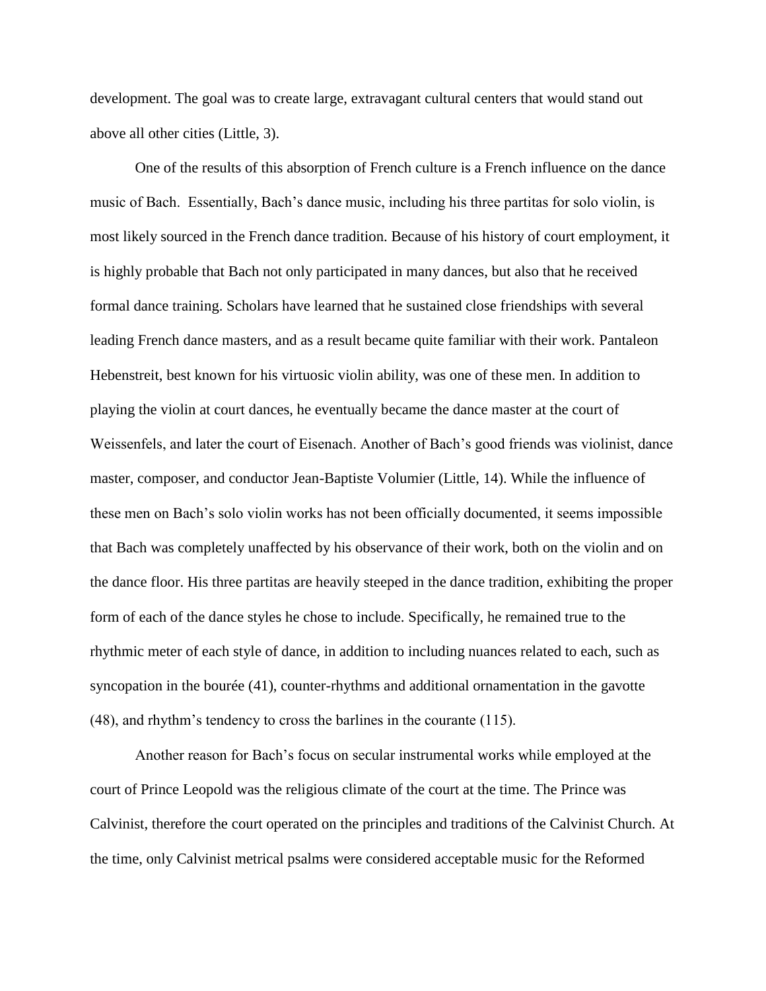development. The goal was to create large, extravagant cultural centers that would stand out above all other cities (Little, 3).

One of the results of this absorption of French culture is a French influence on the dance music of Bach. Essentially, Bach's dance music, including his three partitas for solo violin, is most likely sourced in the French dance tradition. Because of his history of court employment, it is highly probable that Bach not only participated in many dances, but also that he received formal dance training. Scholars have learned that he sustained close friendships with several leading French dance masters, and as a result became quite familiar with their work. Pantaleon Hebenstreit, best known for his virtuosic violin ability, was one of these men. In addition to playing the violin at court dances, he eventually became the dance master at the court of Weissenfels, and later the court of Eisenach. Another of Bach's good friends was violinist, dance master, composer, and conductor Jean-Baptiste Volumier (Little, 14). While the influence of these men on Bach's solo violin works has not been officially documented, it seems impossible that Bach was completely unaffected by his observance of their work, both on the violin and on the dance floor. His three partitas are heavily steeped in the dance tradition, exhibiting the proper form of each of the dance styles he chose to include. Specifically, he remained true to the rhythmic meter of each style of dance, in addition to including nuances related to each, such as syncopation in the bourée (41), counter-rhythms and additional ornamentation in the gavotte (48), and rhythm's tendency to cross the barlines in the courante (115).

Another reason for Bach's focus on secular instrumental works while employed at the court of Prince Leopold was the religious climate of the court at the time. The Prince was Calvinist, therefore the court operated on the principles and traditions of the Calvinist Church. At the time, only Calvinist metrical psalms were considered acceptable music for the Reformed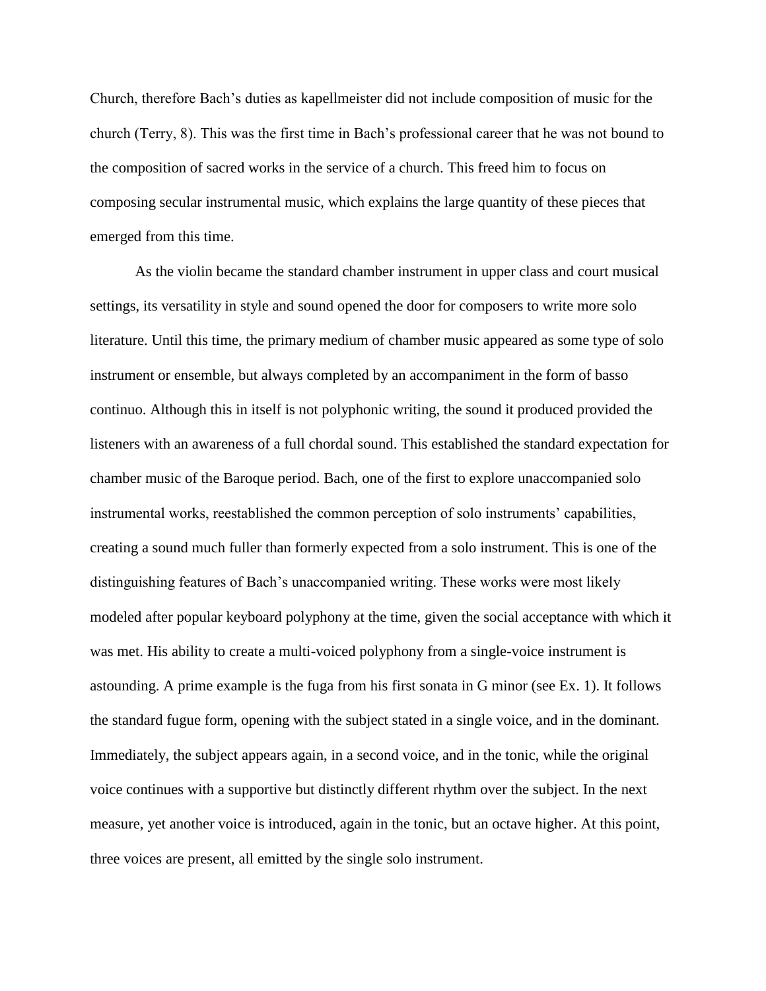Church, therefore Bach's duties as kapellmeister did not include composition of music for the church (Terry, 8). This was the first time in Bach's professional career that he was not bound to the composition of sacred works in the service of a church. This freed him to focus on composing secular instrumental music, which explains the large quantity of these pieces that emerged from this time.

As the violin became the standard chamber instrument in upper class and court musical settings, its versatility in style and sound opened the door for composers to write more solo literature. Until this time, the primary medium of chamber music appeared as some type of solo instrument or ensemble, but always completed by an accompaniment in the form of basso continuo. Although this in itself is not polyphonic writing, the sound it produced provided the listeners with an awareness of a full chordal sound. This established the standard expectation for chamber music of the Baroque period. Bach, one of the first to explore unaccompanied solo instrumental works, reestablished the common perception of solo instruments' capabilities, creating a sound much fuller than formerly expected from a solo instrument. This is one of the distinguishing features of Bach's unaccompanied writing. These works were most likely modeled after popular keyboard polyphony at the time, given the social acceptance with which it was met. His ability to create a multi-voiced polyphony from a single-voice instrument is astounding. A prime example is the fuga from his first sonata in G minor (see Ex. 1). It follows the standard fugue form, opening with the subject stated in a single voice, and in the dominant. Immediately, the subject appears again, in a second voice, and in the tonic, while the original voice continues with a supportive but distinctly different rhythm over the subject. In the next measure, yet another voice is introduced, again in the tonic, but an octave higher. At this point, three voices are present, all emitted by the single solo instrument.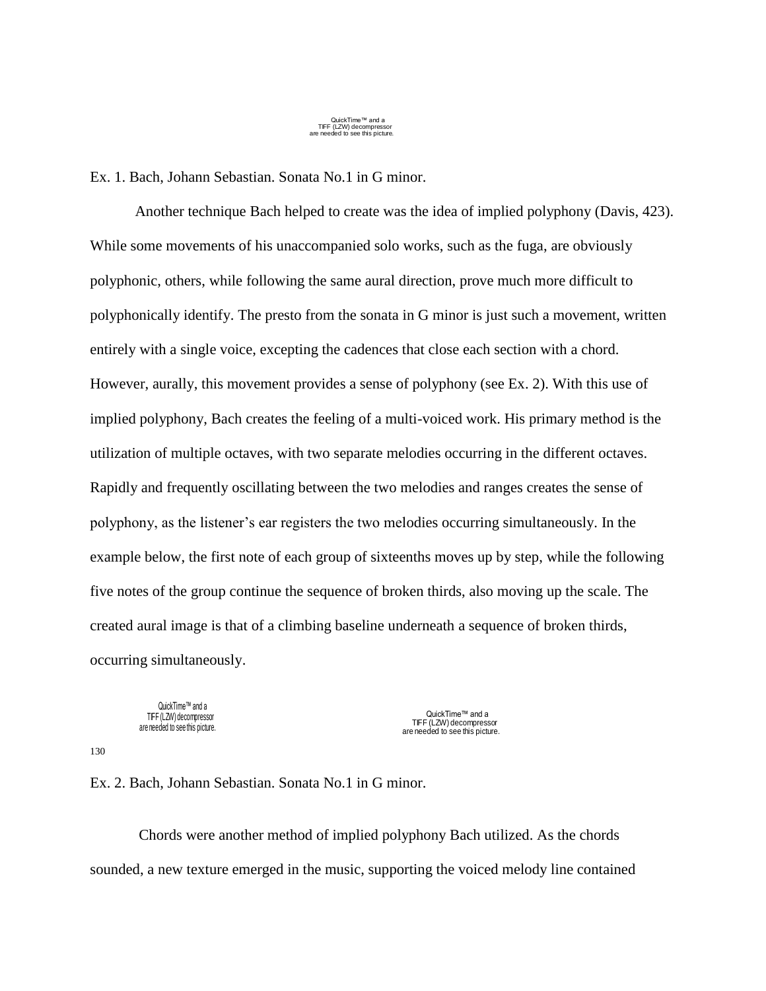QuickTime™ and a TIFF (LZW) decompressor are needed to see this picture.

Ex. 1. Bach, Johann Sebastian. Sonata No.1 in G minor.

Another technique Bach helped to create was the idea of implied polyphony (Davis, 423). While some movements of his unaccompanied solo works, such as the fuga, are obviously polyphonic, others, while following the same aural direction, prove much more difficult to polyphonically identify. The presto from the sonata in G minor is just such a movement, written entirely with a single voice, excepting the cadences that close each section with a chord. However, aurally, this movement provides a sense of polyphony (see Ex. 2). With this use of implied polyphony, Bach creates the feeling of a multi-voiced work. His primary method is the utilization of multiple octaves, with two separate melodies occurring in the different octaves. Rapidly and frequently oscillating between the two melodies and ranges creates the sense of polyphony, as the listener's ear registers the two melodies occurring simultaneously. In the example below, the first note of each group of sixteenths moves up by step, while the following five notes of the group continue the sequence of broken thirds, also moving up the scale. The created aural image is that of a climbing baseline underneath a sequence of broken thirds, occurring simultaneously.

QuickTime™ and a TIFF (LZW) decompressor are needed to see this picture.

QuickTime™ and a TIFF (LZW) decompressor are needed to see this picture.

130

Ex. 2. Bach, Johann Sebastian. Sonata No.1 in G minor.

Chords were another method of implied polyphony Bach utilized. As the chords sounded, a new texture emerged in the music, supporting the voiced melody line contained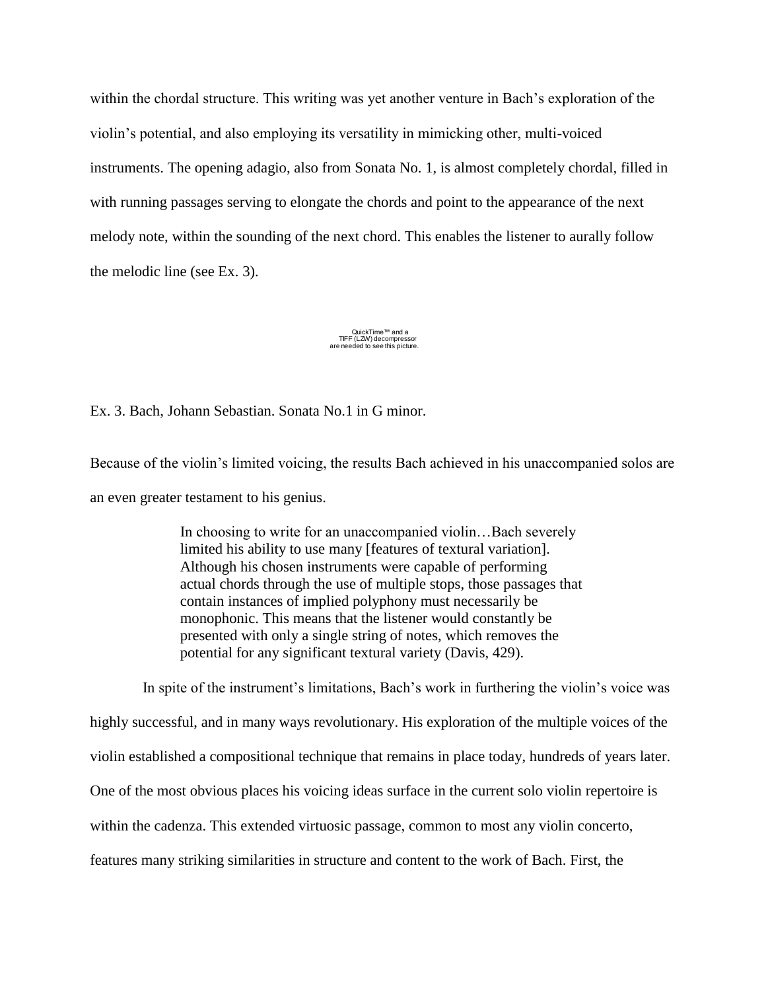within the chordal structure. This writing was yet another venture in Bach's exploration of the violin's potential, and also employing its versatility in mimicking other, multi-voiced instruments. The opening adagio, also from Sonata No. 1, is almost completely chordal, filled in with running passages serving to elongate the chords and point to the appearance of the next melody note, within the sounding of the next chord. This enables the listener to aurally follow the melodic line (see Ex. 3).

### QuickTime™ and a TIFF (LZW) decompressor are needed to see this picture.

Ex. 3. Bach, Johann Sebastian. Sonata No.1 in G minor.

Because of the violin's limited voicing, the results Bach achieved in his unaccompanied solos are an even greater testament to his genius.

> In choosing to write for an unaccompanied violin…Bach severely limited his ability to use many [features of textural variation]. Although his chosen instruments were capable of performing actual chords through the use of multiple stops, those passages that contain instances of implied polyphony must necessarily be monophonic. This means that the listener would constantly be presented with only a single string of notes, which removes the potential for any significant textural variety (Davis, 429).

 In spite of the instrument's limitations, Bach's work in furthering the violin's voice was highly successful, and in many ways revolutionary. His exploration of the multiple voices of the violin established a compositional technique that remains in place today, hundreds of years later. One of the most obvious places his voicing ideas surface in the current solo violin repertoire is within the cadenza. This extended virtuosic passage, common to most any violin concerto, features many striking similarities in structure and content to the work of Bach. First, the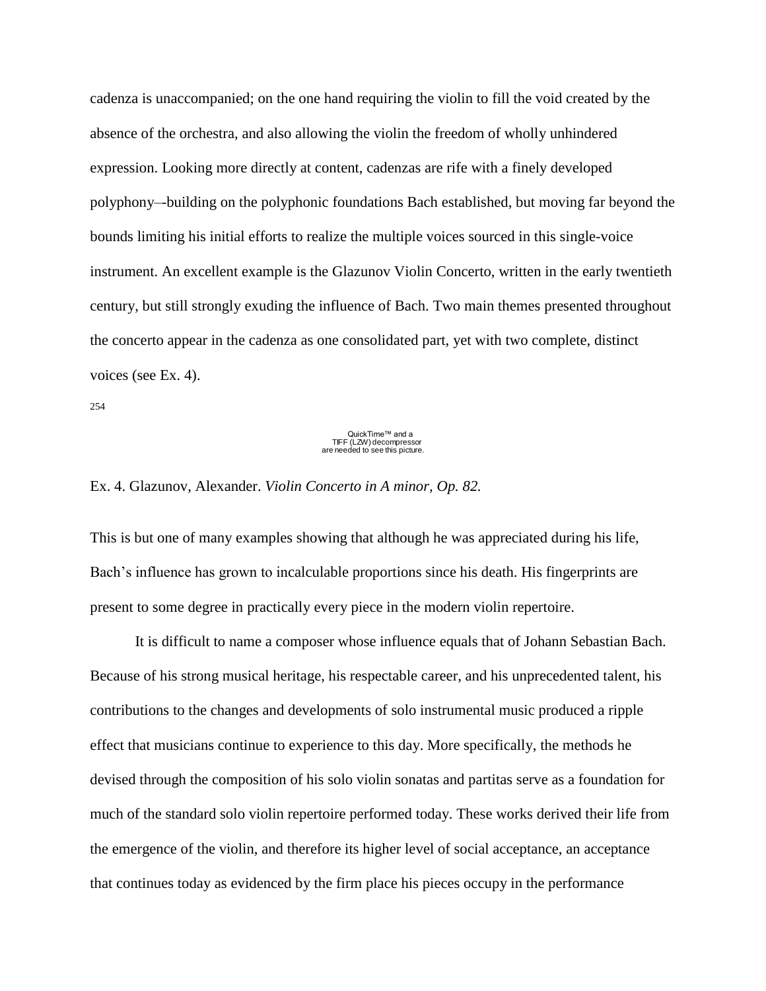cadenza is unaccompanied; on the one hand requiring the violin to fill the void created by the absence of the orchestra, and also allowing the violin the freedom of wholly unhindered expression. Looking more directly at content, cadenzas are rife with a finely developed polyphony–-building on the polyphonic foundations Bach established, but moving far beyond the bounds limiting his initial efforts to realize the multiple voices sourced in this single-voice instrument. An excellent example is the Glazunov Violin Concerto, written in the early twentieth century, but still strongly exuding the influence of Bach. Two main themes presented throughout the concerto appear in the cadenza as one consolidated part, yet with two complete, distinct voices (see Ex. 4).

254

## QuickTime™ and a TIFF (LZW) decompressor are needed to see this picture.

#### Ex. 4. Glazunov, Alexander. *Violin Concerto in A minor, Op. 82.*

This is but one of many examples showing that although he was appreciated during his life, Bach's influence has grown to incalculable proportions since his death. His fingerprints are present to some degree in practically every piece in the modern violin repertoire.

It is difficult to name a composer whose influence equals that of Johann Sebastian Bach. Because of his strong musical heritage, his respectable career, and his unprecedented talent, his contributions to the changes and developments of solo instrumental music produced a ripple effect that musicians continue to experience to this day. More specifically, the methods he devised through the composition of his solo violin sonatas and partitas serve as a foundation for much of the standard solo violin repertoire performed today. These works derived their life from the emergence of the violin, and therefore its higher level of social acceptance, an acceptance that continues today as evidenced by the firm place his pieces occupy in the performance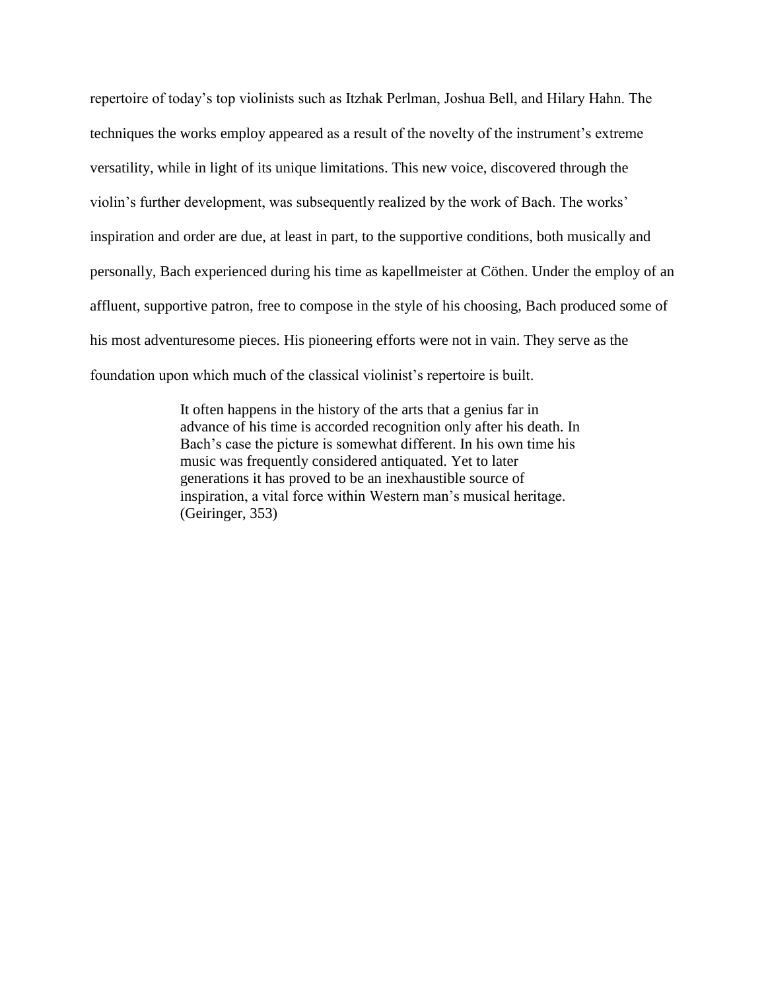repertoire of today's top violinists such as Itzhak Perlman, Joshua Bell, and Hilary Hahn. The techniques the works employ appeared as a result of the novelty of the instrument's extreme versatility, while in light of its unique limitations. This new voice, discovered through the violin's further development, was subsequently realized by the work of Bach. The works' inspiration and order are due, at least in part, to the supportive conditions, both musically and personally, Bach experienced during his time as kapellmeister at Cöthen. Under the employ of an affluent, supportive patron, free to compose in the style of his choosing, Bach produced some of his most adventuresome pieces. His pioneering efforts were not in vain. They serve as the foundation upon which much of the classical violinist's repertoire is built.

> It often happens in the history of the arts that a genius far in advance of his time is accorded recognition only after his death. In Bach's case the picture is somewhat different. In his own time his music was frequently considered antiquated. Yet to later generations it has proved to be an inexhaustible source of inspiration, a vital force within Western man's musical heritage. (Geiringer, 353)